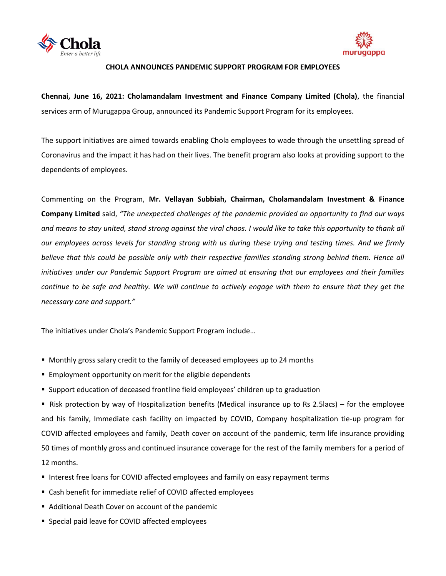



## **CHOLA ANNOUNCES PANDEMIC SUPPORT PROGRAM FOR EMPLOYEES**

**Chennai, June 16, 2021: Cholamandalam Investment and Finance Company Limited (Chola)**, the financial services arm of Murugappa Group, announced its Pandemic Support Program for its employees.

The support initiatives are aimed towards enabling Chola employees to wade through the unsettling spread of Coronavirus and the impact it has had on their lives. The benefit program also looks at providing support to the dependents of employees.

Commenting on the Program, **Mr. Vellayan Subbiah, Chairman, Cholamandalam Investment & Finance Company Limited** said, *"The unexpected challenges of the pandemic provided an opportunity to find our ways*  and means to stay united, stand strong against the viral chaos. I would like to take this opportunity to thank all *our employees across levels for standing strong with us during these trying and testing times. And we firmly*  believe that this could be possible only with their respective families standing strong behind them. Hence all *initiatives under our Pandemic Support Program are aimed at ensuring that our employees and their families continue to be safe and healthy. We will continue to actively engage with them to ensure that they get the necessary care and support."*

The initiatives under Chola's Pandemic Support Program include…

- **Monthly gross salary credit to the family of deceased employees up to 24 months**
- **Employment opportunity on merit for the eligible dependents**
- Support education of deceased frontline field employees' children up to graduation

Risk protection by way of Hospitalization benefits (Medical insurance up to Rs 2.5lacs) – for the employee and his family, Immediate cash facility on impacted by COVID, Company hospitalization tie-up program for COVID affected employees and family, Death cover on account of the pandemic, term life insurance providing 50 times of monthly gross and continued insurance coverage for the rest of the family members for a period of 12 months.

- Interest free loans for COVID affected employees and family on easy repayment terms
- Cash benefit for immediate relief of COVID affected employees
- Additional Death Cover on account of the pandemic
- **Special paid leave for COVID affected employees**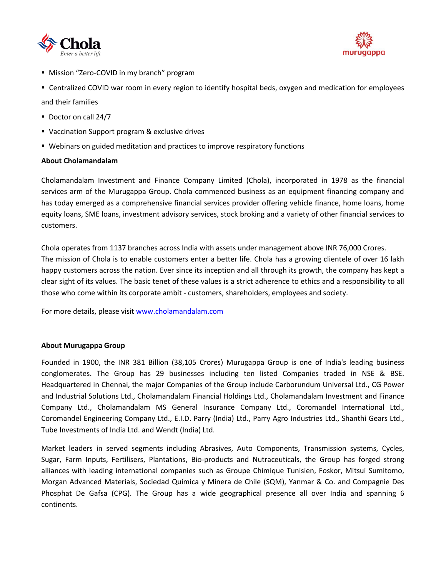



**Mission "Zero-COVID in my branch" program** 

 Centralized COVID war room in every region to identify hospital beds, oxygen and medication for employees and their families

- Doctor on call 24/7
- Vaccination Support program & exclusive drives
- Webinars on guided meditation and practices to improve respiratory functions

## **About Cholamandalam**

Cholamandalam Investment and Finance Company Limited (Chola), incorporated in 1978 as the financial services arm of the Murugappa Group. Chola commenced business as an equipment financing company and has today emerged as a comprehensive financial services provider offering vehicle finance, home loans, home equity loans, SME loans, investment advisory services, stock broking and a variety of other financial services to customers.

Chola operates from 1137 branches across India with assets under management above INR 76,000 Crores. The mission of Chola is to enable customers enter a better life. Chola has a growing clientele of over 16 lakh happy customers across the nation. Ever since its inception and all through its growth, the company has kept a clear sight of its values. The basic tenet of these values is a strict adherence to ethics and a responsibility to all those who come within its corporate ambit - customers, shareholders, employees and society.

For more details, please visit [www.cholamandalam.com](http://www.cholamandalam.com/) 

## **About Murugappa Group**

Founded in 1900, the INR 381 Billion (38,105 Crores) Murugappa Group is one of India's leading business conglomerates. The Group has 29 businesses including ten listed Companies traded in NSE & BSE. Headquartered in Chennai, the major Companies of the Group include Carborundum Universal Ltd., CG Power and Industrial Solutions Ltd., Cholamandalam Financial Holdings Ltd., Cholamandalam Investment and Finance Company Ltd., Cholamandalam MS General Insurance Company Ltd., Coromandel International Ltd., Coromandel Engineering Company Ltd., E.I.D. Parry (India) Ltd., Parry Agro Industries Ltd., Shanthi Gears Ltd., Tube Investments of India Ltd. and Wendt (India) Ltd.

Market leaders in served segments including Abrasives, Auto Components, Transmission systems, Cycles, Sugar, Farm Inputs, Fertilisers, Plantations, Bio-products and Nutraceuticals, the Group has forged strong alliances with leading international companies such as Groupe Chimique Tunisien, Foskor, Mitsui Sumitomo, Morgan Advanced Materials, Sociedad Química y Minera de Chile (SQM), Yanmar & Co. and Compagnie Des Phosphat De Gafsa (CPG). The Group has a wide geographical presence all over India and spanning 6 continents.